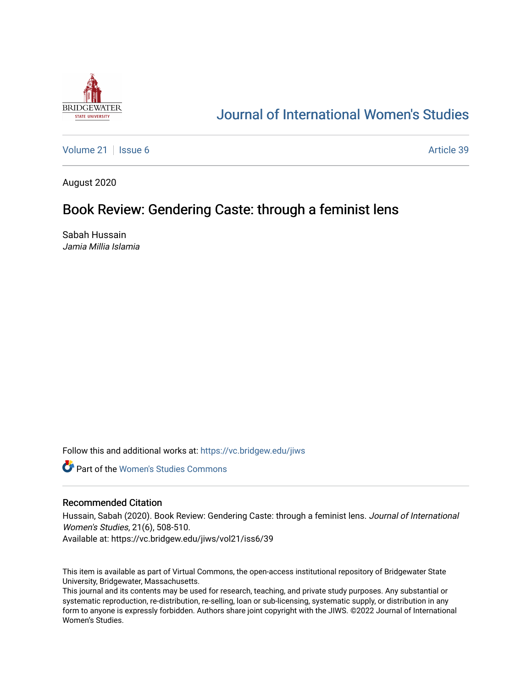

# [Journal of International Women's Studies](https://vc.bridgew.edu/jiws)

[Volume 21](https://vc.bridgew.edu/jiws/vol21) | [Issue 6](https://vc.bridgew.edu/jiws/vol21/iss6) Article 39

August 2020

## Book Review: Gendering Caste: through a feminist lens

Sabah Hussain Jamia Millia Islamia

Follow this and additional works at: [https://vc.bridgew.edu/jiws](https://vc.bridgew.edu/jiws?utm_source=vc.bridgew.edu%2Fjiws%2Fvol21%2Fiss6%2F39&utm_medium=PDF&utm_campaign=PDFCoverPages)

**C** Part of the Women's Studies Commons

### Recommended Citation

Hussain, Sabah (2020). Book Review: Gendering Caste: through a feminist lens. Journal of International Women's Studies, 21(6), 508-510.

Available at: https://vc.bridgew.edu/jiws/vol21/iss6/39

This item is available as part of Virtual Commons, the open-access institutional repository of Bridgewater State University, Bridgewater, Massachusetts.

This journal and its contents may be used for research, teaching, and private study purposes. Any substantial or systematic reproduction, re-distribution, re-selling, loan or sub-licensing, systematic supply, or distribution in any form to anyone is expressly forbidden. Authors share joint copyright with the JIWS. ©2022 Journal of International Women's Studies.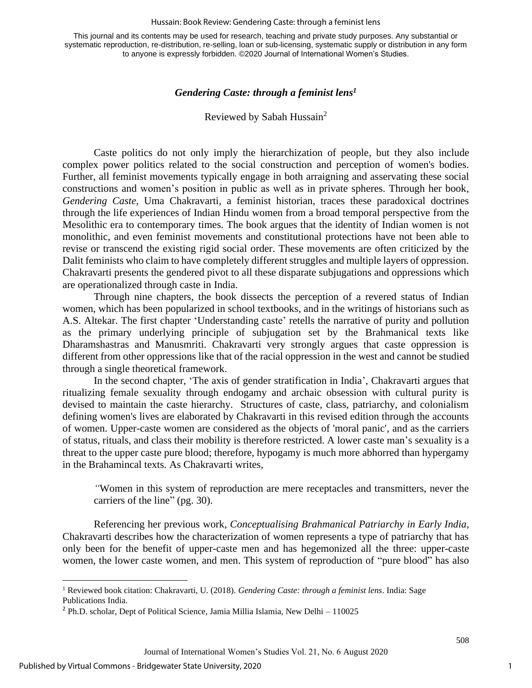#### Hussain: Book Review: Gendering Caste: through a feminist lens

This journal and its contents may be used for research, teaching and private study purposes. Any substantial or systematic reproduction, re-distribution, re-selling, loan or sub-licensing, systematic supply or distribution in any form to anyone is expressly forbidden. ©2020 Journal of International Women's Studies.

### *Gendering Caste: through a feminist lens<sup>1</sup>*

## Reviewed by Sabah Hussain<sup>2</sup>

Caste politics do not only imply the hierarchization of people, but they also include complex power politics related to the social construction and perception of women's bodies. Further, all feminist movements typically engage in both arraigning and asservating these social constructions and women's position in public as well as in private spheres. Through her book, *Gendering Caste,* Uma Chakravarti*,* a feminist historian, traces these paradoxical doctrines through the life experiences of Indian Hindu women from a broad temporal perspective from the Mesolithic era to contemporary times. The book argues that the identity of Indian women is not monolithic, and even feminist movements and constitutional protections have not been able to revise or transcend the existing rigid social order. These movements are often criticized by the Dalit feminists who claim to have completely different struggles and multiple layers of oppression. Chakravarti presents the gendered pivot to all these disparate subjugations and oppressions which are operationalized through caste in India.

Through nine chapters, the book dissects the perception of a revered status of Indian women, which has been popularized in school textbooks, and in the writings of historians such as A.S. Altekar. The first chapter 'Understanding caste' retells the narrative of purity and pollution as the primary underlying principle of subjugation set by the Brahmanical texts like Dharamshastras and Manusmriti. Chakravarti very strongly argues that caste oppression is different from other oppressions like that of the racial oppression in the west and cannot be studied through a single theoretical framework.

In the second chapter, 'The axis of gender stratification in India', Chakravarti argues that ritualizing female sexuality through endogamy and archaic obsession with cultural purity is devised to maintain the caste hierarchy. Structures of caste, class, patriarchy, and colonialism defining women's lives are elaborated by Chakravarti in this revised edition through the accounts of women. Upper-caste women are considered as the objects of 'moral panic', and as the carriers of status, rituals, and class their mobility is therefore restricted. A lower caste man's sexuality is a threat to the upper caste pure blood; therefore, hypogamy is much more abhorred than hypergamy in the Brahamincal texts. As Chakravarti writes,

*"*Women in this system of reproduction are mere receptacles and transmitters, never the carriers of the line" (pg. 30).

Referencing her previous work, *Conceptualising Brahmanical Patriarchy in Early India,* Chakravarti describes how the characterization of women represents a type of patriarchy that has only been for the benefit of upper-caste men and has hegemonized all the three: upper-caste women, the lower caste women, and men. This system of reproduction of "pure blood" has also

508

<sup>1</sup> Reviewed book citation: Chakravarti, U. (2018). *Gendering Caste: through a feminist lens*. India: Sage Publications India.

<sup>2</sup> Ph.D. scholar, Dept of Political Science, Jamia Millia Islamia, New Delhi – 110025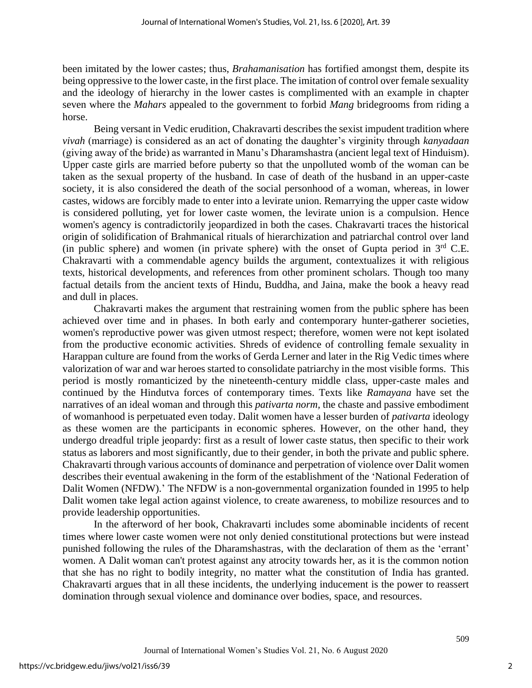been imitated by the lower castes; thus, *Brahamanisation* has fortified amongst them, despite its being oppressive to the lower caste, in the first place. The imitation of control over female sexuality and the ideology of hierarchy in the lower castes is complimented with an example in chapter seven where the *Mahars* appealed to the government to forbid *Mang* bridegrooms from riding a horse.

Being versant in Vedic erudition, Chakravarti describes the sexist impudent tradition where *vivah* (marriage) is considered as an act of donating the daughter's virginity through *kanyadaan* (giving away of the bride) as warranted in Manu's Dharamshastra (ancient legal text of Hinduism). Upper caste girls are married before puberty so that the unpolluted womb of the woman can be taken as the sexual property of the husband. In case of death of the husband in an upper-caste society, it is also considered the death of the social personhood of a woman, whereas, in lower castes, widows are forcibly made to enter into a levirate union. Remarrying the upper caste widow is considered polluting, yet for lower caste women, the levirate union is a compulsion. Hence women's agency is contradictorily jeopardized in both the cases. Chakravarti traces the historical origin of solidification of Brahmanical rituals of hierarchization and patriarchal control over land (in public sphere) and women (in private sphere) with the onset of Gupta period in  $3<sup>rd</sup>$  C.E. Chakravarti with a commendable agency builds the argument, contextualizes it with religious texts, historical developments, and references from other prominent scholars. Though too many factual details from the ancient texts of Hindu, Buddha, and Jaina, make the book a heavy read and dull in places.

Chakravarti makes the argument that restraining women from the public sphere has been achieved over time and in phases. In both early and contemporary hunter-gatherer societies, women's reproductive power was given utmost respect; therefore, women were not kept isolated from the productive economic activities. Shreds of evidence of controlling female sexuality in Harappan culture are found from the works of Gerda Lerner and later in the Rig Vedic times where valorization of war and war heroes started to consolidate patriarchy in the most visible forms. This period is mostly romanticized by the nineteenth-century middle class, upper-caste males and continued by the Hindutva forces of contemporary times. Texts like *Ramayana* have set the narratives of an ideal woman and through this *pativarta norm,* the chaste and passive embodiment of womanhood is perpetuated even today. Dalit women have a lesser burden of *pativarta* ideology as these women are the participants in economic spheres. However, on the other hand, they undergo dreadful triple jeopardy: first as a result of lower caste status, then specific to their work status as laborers and most significantly, due to their gender, in both the private and public sphere. Chakravarti through various accounts of dominance and perpetration of violence over Dalit women describes their eventual awakening in the form of the establishment of the 'National Federation of Dalit Women (NFDW).' The NFDW is a non-governmental organization founded in 1995 to help Dalit women take legal action against violence, to create awareness, to mobilize resources and to provide leadership opportunities.

In the afterword of her book, Chakravarti includes some abominable incidents of recent times where lower caste women were not only denied constitutional protections but were instead punished following the rules of the Dharamshastras, with the declaration of them as the 'errant' women. A Dalit woman can't protest against any atrocity towards her, as it is the common notion that she has no right to bodily integrity, no matter what the constitution of India has granted. Chakravarti argues that in all these incidents, the underlying inducement is the power to reassert domination through sexual violence and dominance over bodies, space, and resources.

509